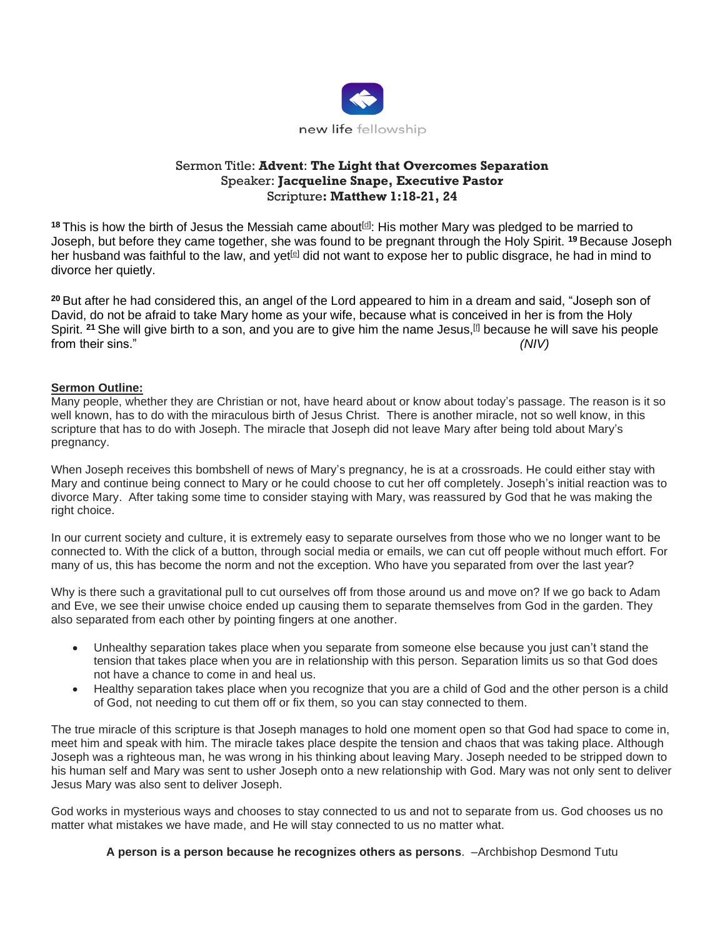

## Sermon Title: **Advent**: **The Light that Overcomes Separation** Speaker: **Jacqueline Snape, Executive Pastor** Scripture**: Matthew 1:18-21, 24**

<sup>18</sup> This is how the birth of Jesus the Messiah came about<sup>[\[d\]](https://www.biblegateway.com/passage/?search=matthew+1&version=NIV#fen-NIV-23163d)</sup>: His mother Mary was pledged to be married to Joseph, but before they came together, she was found to be pregnant through the Holy Spirit. **<sup>19</sup>** Because Joseph her husband was faithful to the law, and yet<sup>[\[e\]](https://www.biblegateway.com/passage/?search=matthew+1&version=NIV#fen-NIV-23164e)</sup> did not want to expose her to public disgrace, he had in mind to divorce her quietly.

**<sup>20</sup>** But after he had considered this, an angel of the Lord appeared to him in a dream and said, "Joseph son of David, do not be afraid to take Mary home as your wife, because what is conceived in her is from the Holy Spirit. <sup>21</sup> She will give birth to a son, and you are to give him the name Jesus,<sup>[\[f\]](https://www.biblegateway.com/passage/?search=matthew+1&version=NIV#fen-NIV-23166f)</sup> because he will save his people from their sins." *(NIV)*

## **Sermon Outline:**

Many people, whether they are Christian or not, have heard about or know about today's passage. The reason is it so well known, has to do with the miraculous birth of Jesus Christ. There is another miracle, not so well know, in this scripture that has to do with Joseph. The miracle that Joseph did not leave Mary after being told about Mary's pregnancy.

When Joseph receives this bombshell of news of Mary's pregnancy, he is at a crossroads. He could either stay with Mary and continue being connect to Mary or he could choose to cut her off completely. Joseph's initial reaction was to divorce Mary. After taking some time to consider staying with Mary, was reassured by God that he was making the right choice.

In our current society and culture, it is extremely easy to separate ourselves from those who we no longer want to be connected to. With the click of a button, through social media or emails, we can cut off people without much effort. For many of us, this has become the norm and not the exception. Who have you separated from over the last year?

Why is there such a gravitational pull to cut ourselves off from those around us and move on? If we go back to Adam and Eve, we see their unwise choice ended up causing them to separate themselves from God in the garden. They also separated from each other by pointing fingers at one another.

- Unhealthy separation takes place when you separate from someone else because you just can't stand the tension that takes place when you are in relationship with this person. Separation limits us so that God does not have a chance to come in and heal us.
- Healthy separation takes place when you recognize that you are a child of God and the other person is a child of God, not needing to cut them off or fix them, so you can stay connected to them.

The true miracle of this scripture is that Joseph manages to hold one moment open so that God had space to come in, meet him and speak with him. The miracle takes place despite the tension and chaos that was taking place. Although Joseph was a righteous man, he was wrong in his thinking about leaving Mary. Joseph needed to be stripped down to his human self and Mary was sent to usher Joseph onto a new relationship with God. Mary was not only sent to deliver Jesus Mary was also sent to deliver Joseph.

God works in mysterious ways and chooses to stay connected to us and not to separate from us. God chooses us no matter what mistakes we have made, and He will stay connected to us no matter what.

**A person is a person because he recognizes others as persons**. –Archbishop Desmond Tutu